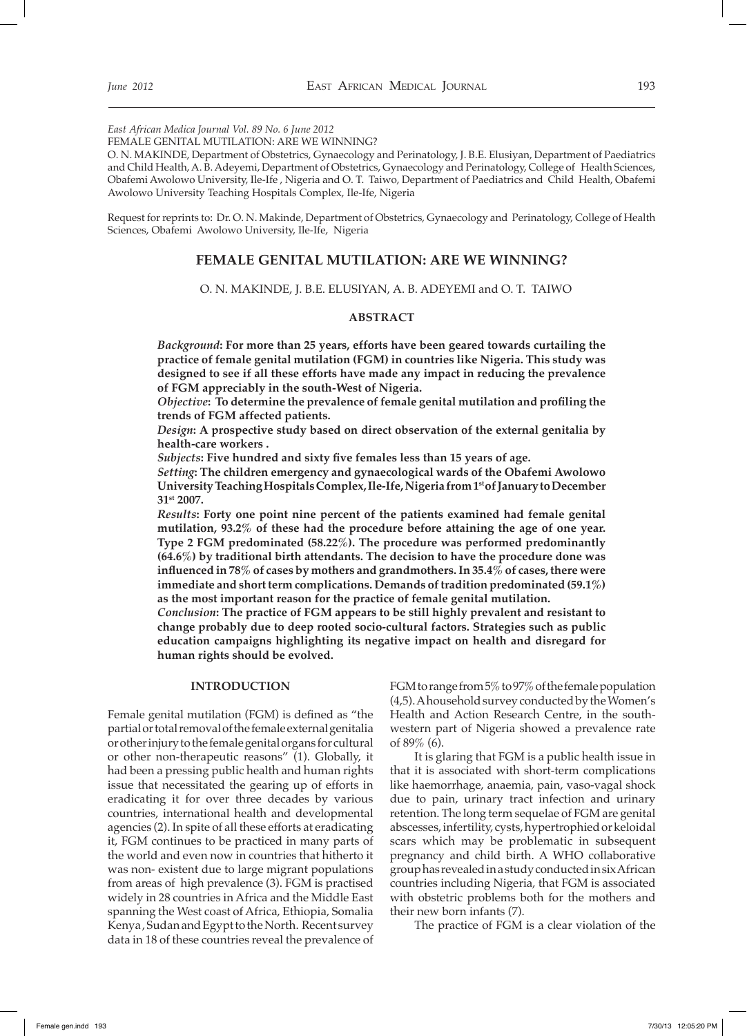*East African Medica Journal Vol. 89 No. 6 June 2012*

FEMALE GENITAL MUTILATION: ARE WE WINNING?

O. N. MAKINDE, Department of Obstetrics, Gynaecology and Perinatology, J. B.E. Elusiyan, Department of Paediatrics and Child Health, A. B. Adeyemi, Department of Obstetrics, Gynaecology and Perinatology, College of Health Sciences, Obafemi Awolowo University, Ile-Ife , Nigeria and O. T. Taiwo, Department of Paediatrics and Child Health, Obafemi Awolowo University Teaching Hospitals Complex, Ile-Ife, Nigeria

Request for reprints to: Dr. O. N. Makinde, Department of Obstetrics, Gynaecology and Perinatology, College of Health Sciences, Obafemi Awolowo University, Ile-Ife, Nigeria

# **FEMALE GENITAL MUTILATION: ARE WE WINNING?**

O. N. MAKINDE, J. B.E. ELUSIYAN, A. B. ADEYEMI and O. T. TAIWO

# **ABSTRACT**

*Background***: For more than 25 years, efforts have been geared towards curtailing the practice of female genital mutilation (FGM) in countries like Nigeria. This study was designed to see if all these efforts have made any impact in reducing the prevalence of FGM appreciably in the south-West of Nigeria.** 

*Objective***: To determine the prevalence of female genital mutilation and profiling the trends of FGM affected patients.** 

*Design***: A prospective study based on direct observation of the external genitalia by health-care workers .**

*Subjects***: Five hundred and sixty five females less than 15 years of age.**

*Setting***: The children emergency and gynaecological wards of the Obafemi Awolowo University Teaching Hospitals Complex, Ile-Ife, Nigeria from 1st of January to December 31st 2007.** 

*Results***: Forty one point nine percent of the patients examined had female genital mutilation, 93.2% of these had the procedure before attaining the age of one year. Type 2 FGM predominated (58.22%). The procedure was performed predominantly (64.6%) by traditional birth attendants. The decision to have the procedure done was influenced in 78% of cases by mothers and grandmothers. In 35.4% of cases, there were immediate and short term complications. Demands of tradition predominated (59.1%) as the most important reason for the practice of female genital mutilation.**

*Conclusion***: The practice of FGM appears to be still highly prevalent and resistant to change probably due to deep rooted socio-cultural factors. Strategies such as public education campaigns highlighting its negative impact on health and disregard for human rights should be evolved.**

#### **INTRODUCTION**

Female genital mutilation (FGM) is defined as "the partial or total removal of the female external genitalia or other injury to the female genital organs for cultural or other non-therapeutic reasons" (1). Globally, it had been a pressing public health and human rights issue that necessitated the gearing up of efforts in eradicating it for over three decades by various countries, international health and developmental agencies (2). In spite of all these efforts at eradicating it, FGM continues to be practiced in many parts of the world and even now in countries that hitherto it was non- existent due to large migrant populations from areas of high prevalence (3). FGM is practised widely in 28 countries in Africa and the Middle East spanning the West coast of Africa, Ethiopia, Somalia Kenya , Sudan and Egypt to the North. Recent survey data in 18 of these countries reveal the prevalence of FGM to range from 5% to 97% of the female population (4,5). A household survey conducted by the Women's Health and Action Research Centre, in the southwestern part of Nigeria showed a prevalence rate of 89% (6).

It is glaring that FGM is a public health issue in that it is associated with short-term complications like haemorrhage, anaemia, pain, vaso-vagal shock due to pain, urinary tract infection and urinary retention. The long term sequelae of FGM are genital abscesses, infertility, cysts, hypertrophied or keloidal scars which may be problematic in subsequent pregnancy and child birth. A WHO collaborative group has revealed in a study conducted in six African countries including Nigeria, that FGM is associated with obstetric problems both for the mothers and their new born infants (7).

The practice of FGM is a clear violation of the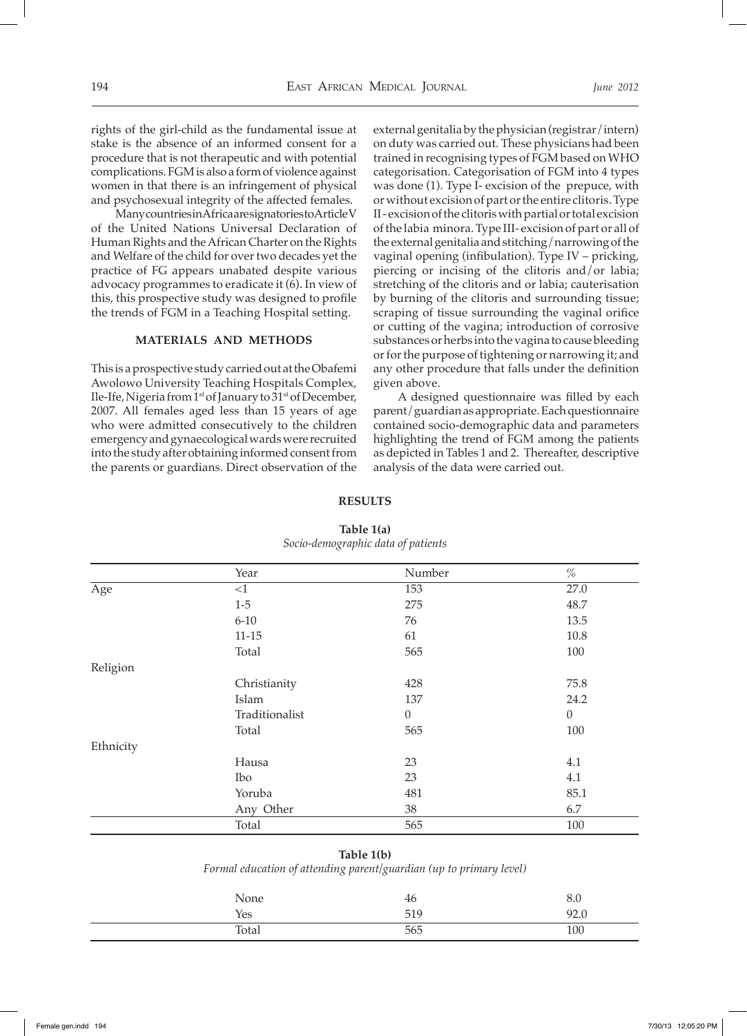rights of the girl-child as the fundamental issue at stake is the absence of an informed consent for a procedure that is not therapeutic and with potential complications. FGM is also a form of violence against women in that there is an infringement of physical and psychosexual integrity of the affected females.

Many countries in Africa are signatories to Article V of the United Nations Universal Declaration of Human Rights and the African Charter on the Rights and Welfare of the child for over two decades yet the practice of FG appears unabated despite various advocacy programmes to eradicate it (6). In view of this, this prospective study was designed to profile the trends of FGM in a Teaching Hospital setting.

#### **MATERIALS AND METHODS**

This is a prospective study carried out at the Obafemi Awolowo University Teaching Hospitals Complex, Ile-Ife, Nigeria from 1st of January to 31st of December, 2007. All females aged less than 15 years of age who were admitted consecutively to the children emergency and gynaecological wards were recruited into the study after obtaining informed consent from the parents or guardians. Direct observation of the

external genitalia by the physician (registrar/intern) on duty was carried out. These physicians had been trained in recognising types of FGM based on WHO categorisation. Categorisation of FGM into 4 types was done (1). Type I- excision of the prepuce, with or without excision of part or the entire clitoris. Type II - excision of the clitoris with partial or total excision of the labia minora. Type III- excision of part or all of the external genitalia and stitching/narrowing of the vaginal opening (infibulation). Type IV – pricking, piercing or incising of the clitoris and/or labia; stretching of the clitoris and or labia; cauterisation by burning of the clitoris and surrounding tissue; scraping of tissue surrounding the vaginal orifice or cutting of the vagina; introduction of corrosive substances or herbs into the vagina to cause bleeding or for the purpose of tightening or narrowing it; and any other procedure that falls under the definition given above.

A designed questionnaire was filled by each parent/guardian as appropriate. Each questionnaire contained socio-demographic data and parameters highlighting the trend of FGM among the patients as depicted in Tables 1 and 2. Thereafter, descriptive analysis of the data were carried out.

|           | Year           | Number           | $\%$     |
|-----------|----------------|------------------|----------|
| Age       | $<$ 1          | 153              | 27.0     |
|           | $1-5$          | 275              | 48.7     |
|           | $6 - 10$       | 76               | 13.5     |
|           | $11 - 15$      | 61               | 10.8     |
|           | Total          | 565              | 100      |
| Religion  |                |                  |          |
|           | Christianity   | 428              | 75.8     |
|           | Islam          | 137              | 24.2     |
|           | Traditionalist | $\boldsymbol{0}$ | $\theta$ |
|           | Total          | 565              | 100      |
| Ethnicity |                |                  |          |
|           | Hausa          | 23               | 4.1      |
|           | Ibo            | 23               | 4.1      |
|           | Yoruba         | 481              | 85.1     |
|           | Any Other      | 38               | 6.7      |
|           | Total          | 565              | 100      |

### **RESULTS**

**Table 1(a)**  *Socio-demographic data of patients*

#### **Table 1(b)**

*Formal education of attending parent/guardian (up to primary level)*

| None  | 46  | 8.0  |
|-------|-----|------|
| Yes   | 519 | 92.0 |
| Total | 565 | 100  |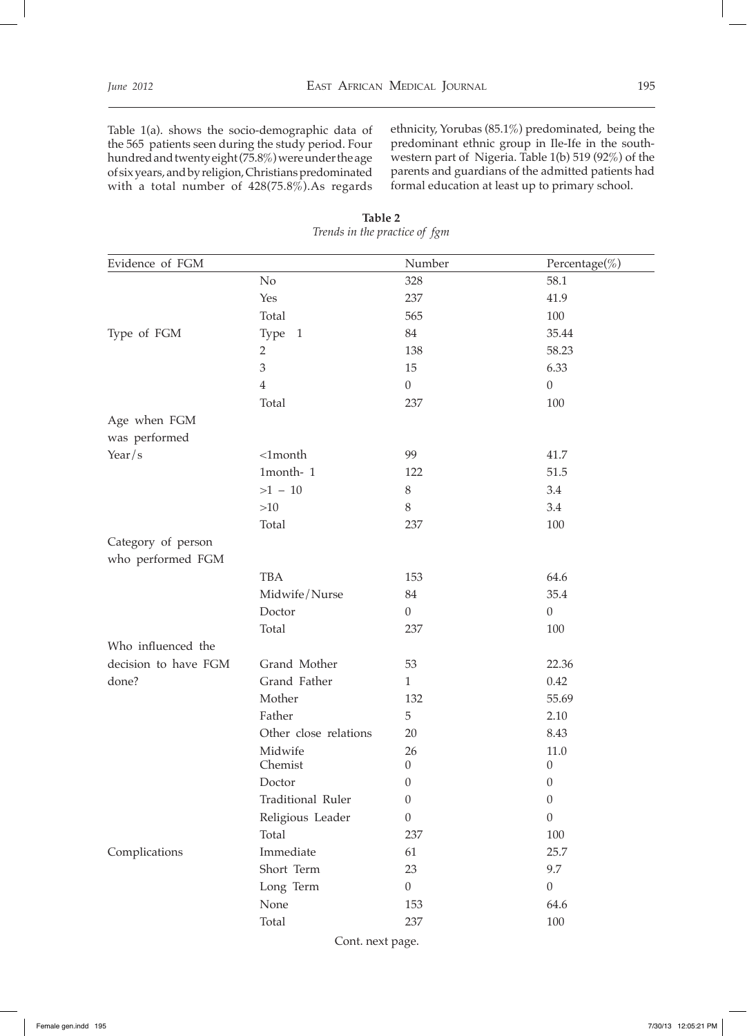Table 1(a). shows the socio-demographic data of the 565 patients seen during the study period. Four hundred and twenty eight (75.8%) were under the age of six years, and by religion, Christians predominated with a total number of 428(75.8%).As regards ethnicity, Yorubas (85.1%) predominated, being the predominant ethnic group in Ile-Ife in the southwestern part of Nigeria. Table 1(b) 519 (92%) of the parents and guardians of the admitted patients had formal education at least up to primary school.

| Evidence of FGM                         |                          | Number           | Percentage(%)    |
|-----------------------------------------|--------------------------|------------------|------------------|
|                                         | No                       | 328              | 58.1             |
|                                         | Yes                      | 237              | 41.9             |
|                                         | Total                    | 565              | 100              |
| Type of FGM                             | Type 1                   | 84               | 35.44            |
|                                         | $\overline{2}$           | 138              | 58.23            |
|                                         | 3                        | 15               | 6.33             |
|                                         | $\overline{4}$           | $\boldsymbol{0}$ | $\boldsymbol{0}$ |
|                                         | Total                    | 237              | 100              |
| Age when FGM<br>was performed           |                          |                  |                  |
| Year/s                                  | $<$ 1month               | 99               | 41.7             |
|                                         | 1month-1                 | 122              | 51.5             |
|                                         | $>1 - 10$                | 8                | 3.4              |
|                                         | $>10$                    | 8                | 3.4              |
|                                         | Total                    | 237              | 100              |
| Category of person<br>who performed FGM |                          |                  |                  |
|                                         | <b>TBA</b>               | 153              | 64.6             |
|                                         | Midwife/Nurse            | 84               | 35.4             |
|                                         | Doctor                   | $\boldsymbol{0}$ | $\boldsymbol{0}$ |
|                                         | Total                    | 237              | 100              |
| Who influenced the                      |                          |                  |                  |
| decision to have FGM                    | Grand Mother             | 53               | 22.36            |
| done?                                   | Grand Father             | $\mathbf{1}$     | 0.42             |
|                                         | Mother                   | 132              | 55.69            |
|                                         | Father                   | 5                | 2.10             |
|                                         | Other close relations    | 20               | 8.43             |
|                                         | Midwife                  | 26               | 11.0             |
|                                         | Chemist                  | $\boldsymbol{0}$ | $\boldsymbol{0}$ |
|                                         | Doctor                   | $\overline{0}$   | $\boldsymbol{0}$ |
|                                         | <b>Traditional Ruler</b> | $\boldsymbol{0}$ | $\boldsymbol{0}$ |
|                                         | Religious Leader         | $\boldsymbol{0}$ | $\boldsymbol{0}$ |
|                                         | Total                    | 237              | 100              |
| Complications                           | Immediate                | 61               | 25.7             |
|                                         | Short Term               | 23               | 9.7              |
|                                         | Long Term                | $\boldsymbol{0}$ | $\boldsymbol{0}$ |
|                                         | None                     | 153              | 64.6             |
|                                         | Total                    | 237              | $100\,$          |

**Table 2**  *Trends in the practice of fgm* 

Cont. next page.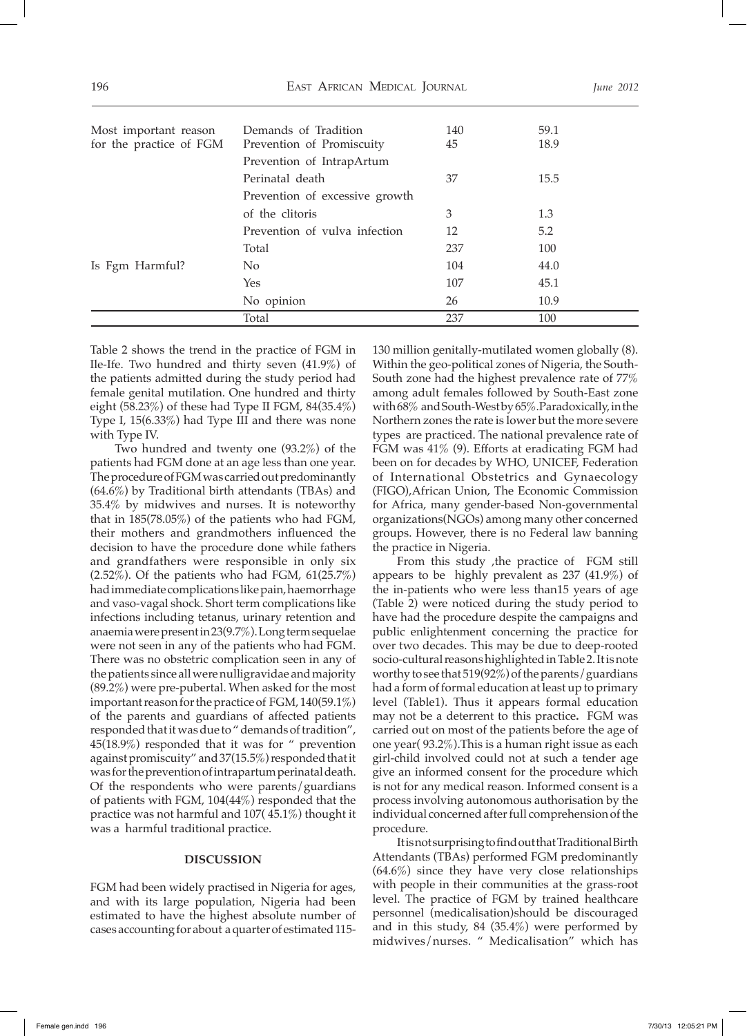|                         | Total                          | 237 | 100  |
|-------------------------|--------------------------------|-----|------|
|                         | No opinion                     | 26  | 10.9 |
|                         | Yes                            | 107 | 45.1 |
| Is Fgm Harmful?         | No.                            | 104 | 44.0 |
|                         | Total                          | 237 | 100  |
|                         | Prevention of vulva infection  | 12  | 5.2  |
|                         | of the clitoris                | 3   | 1.3  |
|                         | Prevention of excessive growth |     |      |
|                         | Perinatal death                | 37  | 15.5 |
|                         | Prevention of IntrapArtum      |     |      |
| for the practice of FGM | Prevention of Promiscuity      | 45  | 18.9 |
| Most important reason   | Demands of Tradition           | 140 | 59.1 |
|                         |                                |     |      |

Table 2 shows the trend in the practice of FGM in Ile-Ife. Two hundred and thirty seven (41.9%) of the patients admitted during the study period had female genital mutilation. One hundred and thirty eight (58.23%) of these had Type II FGM, 84(35.4%) Type I, 15(6.33%) had Type III and there was none with Type IV.

Two hundred and twenty one (93.2%) of the patients had FGM done at an age less than one year. The procedure of FGM was carried out predominantly (64.6%) by Traditional birth attendants (TBAs) and 35.4% by midwives and nurses. It is noteworthy that in 185(78.05%) of the patients who had FGM, their mothers and grandmothers influenced the decision to have the procedure done while fathers and grandfathers were responsible in only six (2.52%). Of the patients who had FGM, 61(25.7%) had immediate complications like pain, haemorrhage and vaso-vagal shock. Short term complications like infections including tetanus, urinary retention and anaemia were present in 23(9.7%). Long term sequelae were not seen in any of the patients who had FGM. There was no obstetric complication seen in any of the patients since all were nulligravidae and majority (89.2%) were pre-pubertal. When asked for the most important reason for the practice of FGM, 140(59.1%) of the parents and guardians of affected patients responded that it was due to " demands of tradition", 45(18.9%) responded that it was for " prevention against promiscuity" and 37(15.5%) responded that it was for the prevention of intrapartum perinatal death. Of the respondents who were parents/guardians of patients with FGM, 104(44%) responded that the practice was not harmful and 107( 45.1%) thought it was a harmful traditional practice.

## **DISCUSSION**

FGM had been widely practised in Nigeria for ages, and with its large population, Nigeria had been estimated to have the highest absolute number of cases accounting for about a quarter of estimated 115-

130 million genitally-mutilated women globally (8). Within the geo-political zones of Nigeria, the South-South zone had the highest prevalence rate of 77% among adult females followed by South-East zone with 68% and South-West by 65%.Paradoxically, in the Northern zones the rate is lower but the more severe types are practiced. The national prevalence rate of FGM was 41% (9). Efforts at eradicating FGM had been on for decades by WHO, UNICEF, Federation of International Obstetrics and Gynaecology (FIGO),African Union, The Economic Commission for Africa, many gender-based Non-governmental organizations(NGOs) among many other concerned groups. However, there is no Federal law banning the practice in Nigeria.

From this study ,the practice of FGM still appears to be highly prevalent as 237 (41.9%) of the in-patients who were less than15 years of age (Table 2) were noticed during the study period to have had the procedure despite the campaigns and public enlightenment concerning the practice for over two decades. This may be due to deep-rooted socio-cultural reasons highlighted in Table 2. It is note worthy to see that 519(92%) of the parents/guardians had a form of formal education at least up to primary level (Table1). Thus it appears formal education may not be a deterrent to this practice**.** FGM was carried out on most of the patients before the age of one year( 93.2%).This is a human right issue as each girl-child involved could not at such a tender age give an informed consent for the procedure which is not for any medical reason. Informed consent is a process involving autonomous authorisation by the individual concerned after full comprehension of the procedure.

It is not surprising to find out that Traditional Birth Attendants (TBAs) performed FGM predominantly (64.6%) since they have very close relationships with people in their communities at the grass-root level. The practice of FGM by trained healthcare personnel (medicalisation)should be discouraged and in this study, 84 (35.4%) were performed by midwives/nurses. " Medicalisation" which has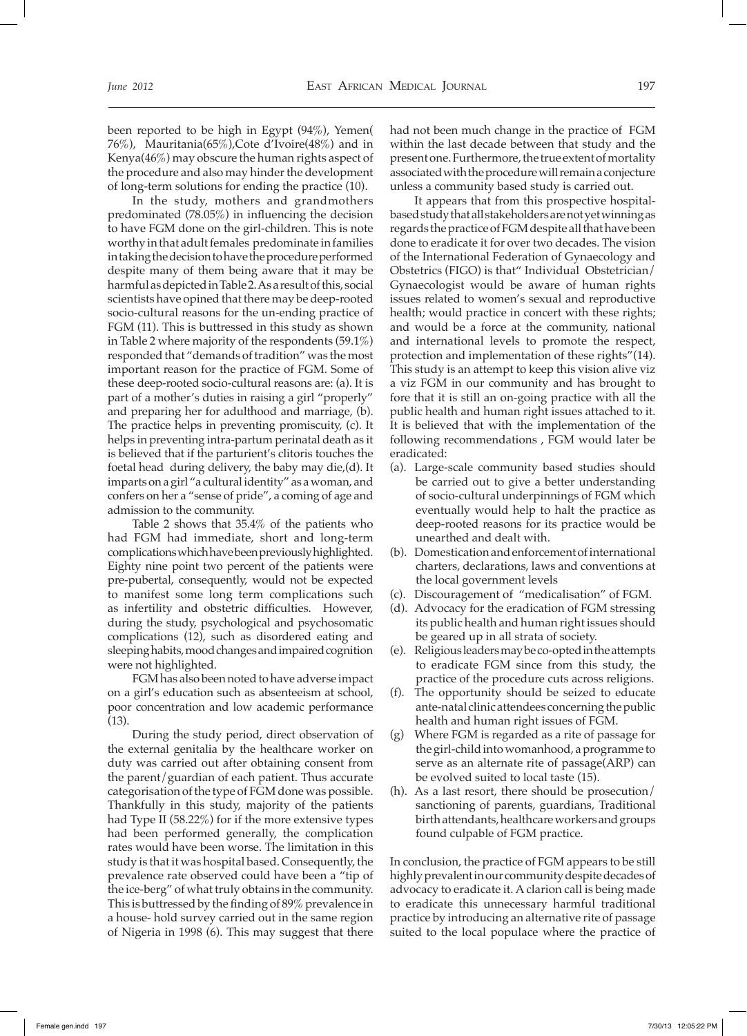been reported to be high in Egypt (94%), Yemen( 76%), Mauritania(65%),Cote d'Ivoire(48%) and in Kenya(46%) may obscure the human rights aspect of the procedure and also may hinder the development of long-term solutions for ending the practice (10).

In the study, mothers and grandmothers predominated (78.05%) in influencing the decision to have FGM done on the girl-children. This is note worthy in that adult females predominate in families in taking the decision to have the procedure performed despite many of them being aware that it may be harmful as depicted in Table 2. As a result of this, social scientists have opined that there may be deep-rooted socio-cultural reasons for the un-ending practice of FGM (11). This is buttressed in this study as shown in Table 2 where majority of the respondents (59.1%) responded that "demands of tradition" was the most important reason for the practice of FGM. Some of these deep-rooted socio-cultural reasons are: (a). It is part of a mother's duties in raising a girl "properly" and preparing her for adulthood and marriage, (b). The practice helps in preventing promiscuity, (c). It helps in preventing intra-partum perinatal death as it is believed that if the parturient's clitoris touches the foetal head during delivery, the baby may die,(d). It imparts on a girl "a cultural identity" as a woman, and confers on her a "sense of pride", a coming of age and admission to the community.

Table 2 shows that 35.4% of the patients who had FGM had immediate, short and long-term complications which have been previously highlighted. Eighty nine point two percent of the patients were pre-pubertal, consequently, would not be expected to manifest some long term complications such as infertility and obstetric difficulties. However, during the study, psychological and psychosomatic complications (12), such as disordered eating and sleeping habits, mood changes and impaired cognition were not highlighted.

FGM has also been noted to have adverse impact on a girl's education such as absenteeism at school, poor concentration and low academic performance (13).

During the study period, direct observation of the external genitalia by the healthcare worker on duty was carried out after obtaining consent from the parent/guardian of each patient. Thus accurate categorisation of the type of FGM done was possible. Thankfully in this study, majority of the patients had Type II (58.22%) for if the more extensive types had been performed generally, the complication rates would have been worse. The limitation in this study is that it was hospital based. Consequently, the prevalence rate observed could have been a "tip of the ice-berg" of what truly obtains in the community. This is buttressed by the finding of 89% prevalence in a house- hold survey carried out in the same region of Nigeria in 1998 (6). This may suggest that there

had not been much change in the practice of FGM within the last decade between that study and the present one. Furthermore, the true extent of mortality associated with the procedure will remain a conjecture unless a community based study is carried out.

It appears that from this prospective hospitalbased study that all stakeholders are not yet winning as regards the practice of FGM despite all that have been done to eradicate it for over two decades. The vision of the International Federation of Gynaecology and Obstetrics (FIGO) is that" Individual Obstetrician/ Gynaecologist would be aware of human rights issues related to women's sexual and reproductive health; would practice in concert with these rights; and would be a force at the community, national and international levels to promote the respect, protection and implementation of these rights"(14). This study is an attempt to keep this vision alive viz a viz FGM in our community and has brought to fore that it is still an on-going practice with all the public health and human right issues attached to it. It is believed that with the implementation of the following recommendations , FGM would later be eradicated:

- (a). Large-scale community based studies should be carried out to give a better understanding of socio-cultural underpinnings of FGM which eventually would help to halt the practice as deep-rooted reasons for its practice would be unearthed and dealt with.
- (b). Domestication and enforcement of international charters, declarations, laws and conventions at the local government levels
- (c). Discouragement of "medicalisation" of FGM.
- (d). Advocacy for the eradication of FGM stressing its public health and human right issues should be geared up in all strata of society.
- (e). Religious leaders may be co-opted in the attempts to eradicate FGM since from this study, the practice of the procedure cuts across religions.
- (f). The opportunity should be seized to educate ante-natal clinic attendees concerning the public health and human right issues of FGM.
- (g) Where FGM is regarded as a rite of passage for the girl-child into womanhood, a programme to serve as an alternate rite of passage(ARP) can be evolved suited to local taste (15).
- (h). As a last resort, there should be prosecution/ sanctioning of parents, guardians, Traditional birth attendants, healthcare workers and groups found culpable of FGM practice.

In conclusion, the practice of FGM appears to be still highly prevalent in our community despite decades of advocacy to eradicate it. A clarion call is being made to eradicate this unnecessary harmful traditional practice by introducing an alternative rite of passage suited to the local populace where the practice of